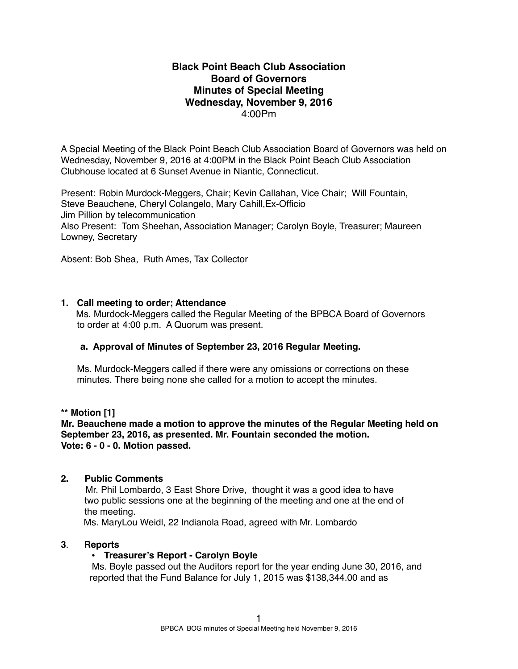# **Black Point Beach Club Association Board of Governors Minutes of Special Meeting Wednesday, November 9, 2016** 4:00Pm

A Special Meeting of the Black Point Beach Club Association Board of Governors was held on Wednesday, November 9, 2016 at 4:00PM in the Black Point Beach Club Association Clubhouse located at 6 Sunset Avenue in Niantic, Connecticut.

Present: Robin Murdock-Meggers, Chair; Kevin Callahan, Vice Chair; Will Fountain, Steve Beauchene, Cheryl Colangelo, Mary Cahill,Ex-Officio Jim Pillion by telecommunication Also Present: Tom Sheehan, Association Manager; Carolyn Boyle, Treasurer; Maureen Lowney, Secretary

Absent: Bob Shea, Ruth Ames, Tax Collector

# **1. Call meeting to order; Attendance**

Ms. Murdock-Meggers called the Regular Meeting of the BPBCA Board of Governors to order at 4:00 p.m. A Quorum was present.

# **a. Approval of Minutes of September 23, 2016 Regular Meeting.**

Ms. Murdock-Meggers called if there were any omissions or corrections on these minutes. There being none she called for a motion to accept the minutes.

#### **\*\* Motion [1]**

**Mr. Beauchene made a motion to approve the minutes of the Regular Meeting held on September 23, 2016, as presented. Mr. Fountain seconded the motion. Vote: 6 - 0 - 0. Motion passed.**

### **2. Public Comments**

Mr. Phil Lombardo, 3 East Shore Drive, thought it was a good idea to have two public sessions one at the beginning of the meeting and one at the end of the meeting.

Ms. MaryLou Weidl, 22 Indianola Road, agreed with Mr. Lombardo

# **3**. **Reports**

# • **Treasurer's Report - Carolyn Boyle**

Ms. Boyle passed out the Auditors report for the year ending June 30, 2016, and reported that the Fund Balance for July 1, 2015 was \$138,344.00 and as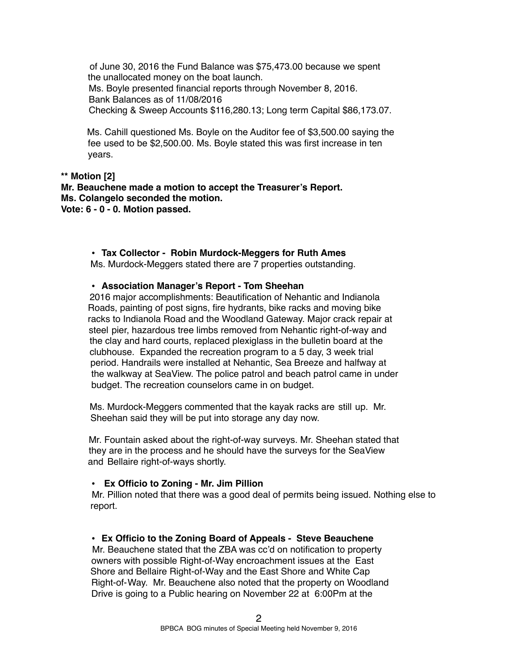of June 30, 2016 the Fund Balance was \$75,473.00 because we spent the unallocated money on the boat launch. Ms. Boyle presented financial reports through November 8, 2016. Bank Balances as of 11/08/2016 Checking & Sweep Accounts \$116,280.13; Long term Capital \$86,173.07.

Ms. Cahill questioned Ms. Boyle on the Auditor fee of \$3,500.00 saying the fee used to be \$2,500.00. Ms. Boyle stated this was first increase in ten years.

**\*\* Motion [2] Mr. Beauchene made a motion to accept the Treasurer's Report. Ms. Colangelo seconded the motion. Vote: 6 - 0 - 0. Motion passed.** 

**• Tax Collector - Robin Murdock-Meggers for Ruth Ames**

Ms. Murdock-Meggers stated there are 7 properties outstanding.

**• Association Manager's Report - Tom Sheehan**

2016 major accomplishments: Beautification of Nehantic and Indianola Roads, painting of post signs, fire hydrants, bike racks and moving bike racks to Indianola Road and the Woodland Gateway. Major crack repair at steel pier, hazardous tree limbs removed from Nehantic right-of-way and the clay and hard courts, replaced plexiglass in the bulletin board at the clubhouse. Expanded the recreation program to a 5 day, 3 week trial period. Handrails were installed at Nehantic, Sea Breeze and halfway at the walkway at SeaView. The police patrol and beach patrol came in under budget. The recreation counselors came in on budget.

Ms. Murdock-Meggers commented that the kayak racks are still up. Mr. Sheehan said they will be put into storage any day now.

Mr. Fountain asked about the right-of-way surveys. Mr. Sheehan stated that they are in the process and he should have the surveys for the SeaView and Bellaire right-of-ways shortly.

**• Ex Officio to Zoning - Mr. Jim Pillion**

Mr. Pillion noted that there was a good deal of permits being issued. Nothing else to report.

• **Ex Officio to the Zoning Board of Appeals - Steve Beauchene**

Mr. Beauchene stated that the ZBA was cc'd on notification to property owners with possible Right-of-Way encroachment issues at the East Shore and Bellaire Right-of-Way and the East Shore and White Cap Right-of-Way. Mr. Beauchene also noted that the property on Woodland Drive is going to a Public hearing on November 22 at 6:00Pm at the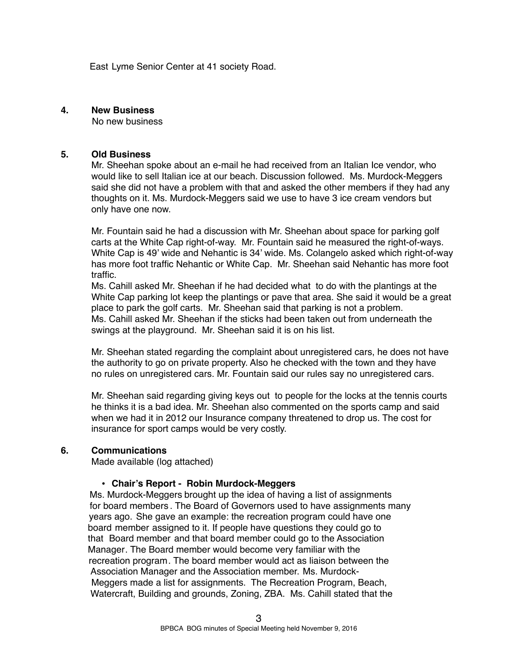East Lyme Senior Center at 41 society Road.

#### **4. New Business**

No new business

#### **5. Old Business**

Mr. Sheehan spoke about an e-mail he had received from an Italian Ice vendor, who would like to sell Italian ice at our beach. Discussion followed. Ms. Murdock-Meggers said she did not have a problem with that and asked the other members if they had any thoughts on it. Ms. Murdock-Meggers said we use to have 3 ice cream vendors but only have one now.

Mr. Fountain said he had a discussion with Mr. Sheehan about space for parking golf carts at the White Cap right-of-way. Mr. Fountain said he measured the right-of-ways. White Cap is 49' wide and Nehantic is 34' wide. Ms. Colangelo asked which right-of-way has more foot traffic Nehantic or White Cap. Mr. Sheehan said Nehantic has more foot traffic.

Ms. Cahill asked Mr. Sheehan if he had decided what to do with the plantings at the White Cap parking lot keep the plantings or pave that area. She said it would be a great place to park the golf carts. Mr. Sheehan said that parking is not a problem. Ms. Cahill asked Mr. Sheehan if the sticks had been taken out from underneath the swings at the playground. Mr. Sheehan said it is on his list.

Mr. Sheehan stated regarding the complaint about unregistered cars, he does not have the authority to go on private property. Also he checked with the town and they have no rules on unregistered cars. Mr. Fountain said our rules say no unregistered cars.

Mr. Sheehan said regarding giving keys out to people for the locks at the tennis courts he thinks it is a bad idea. Mr. Sheehan also commented on the sports camp and said when we had it in 2012 our Insurance company threatened to drop us. The cost for insurance for sport camps would be very costly.

#### **6. Communications**

Made available (log attached)

#### **• Chair's Report - Robin Murdock-Meggers**

Ms. Murdock-Meggers brought up the idea of having a list of assignments for board members . The Board of Governors used to have assignments many years ago. She gave an example: the recreation program could have one board member assigned to it. If people have questions they could go to that Board member and that board member could go to the Association Manager. The Board member would become very familiar with the recreation program. The board member would act as liaison between the Association Manager and the Association member. Ms. Murdock-Meggers made a list for assignments. The Recreation Program, Beach, Watercraft, Building and grounds, Zoning, ZBA. Ms. Cahill stated that the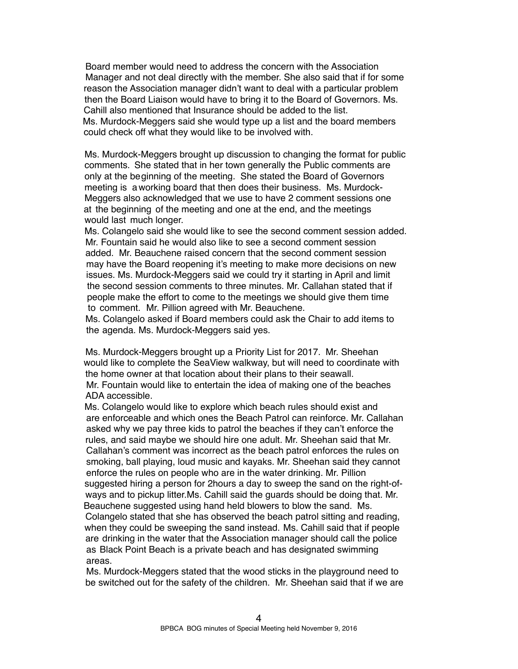Board member would need to address the concern with the Association Manager and not deal directly with the member. She also said that if for some reason the Association manager didn't want to deal with a particular problem then the Board Liaison would have to bring it to the Board of Governors. Ms. Cahill also mentioned that Insurance should be added to the list. Ms. Murdock-Meggers said she would type up a list and the board members could check off what they would like to be involved with.

Ms. Murdock-Meggers brought up discussion to changing the format for public comments. She stated that in her town generally the Public comments are only at the beginning of the meeting. She stated the Board of Governors meeting is a working board that then does their business. Ms. Murdock-Meggers also acknowledged that we use to have 2 comment sessions one at the beginning of the meeting and one at the end, and the meetings would last much longer.

Ms. Colangelo said she would like to see the second comment session added. Mr. Fountain said he would also like to see a second comment session added. Mr. Beauchene raised concern that the second comment session may have the Board reopening it's meeting to make more decisions on new issues. Ms. Murdock-Meggers said we could try it starting in April and limit the second session comments to three minutes. Mr. Callahan stated that if people make the effort to come to the meetings we should give them time to comment. Mr. Pillion agreed with Mr. Beauchene.

Ms. Colangelo asked if Board members could ask the Chair to add items to the agenda. Ms. Murdock-Meggers said yes.

Ms. Murdock-Meggers brought up a Priority List for 2017. Mr. Sheehan would like to complete the SeaView walkway, but will need to coordinate with the home owner at that location about their plans to their seawall. Mr. Fountain would like to entertain the idea of making one of the beaches ADA accessible.

Ms. Colangelo would like to explore which beach rules should exist and are enforceable and which ones the Beach Patrol can reinforce. Mr. Callahan asked why we pay three kids to patrol the beaches if they can't enforce the rules, and said maybe we should hire one adult. Mr. Sheehan said that Mr. Callahan's comment was incorrect as the beach patrol enforces the rules on smoking, ball playing, loud music and kayaks. Mr. Sheehan said they cannot enforce the rules on people who are in the water drinking. Mr. Pillion suggested hiring a person for 2hours a day to sweep the sand on the right-ofways and to pickup litter.Ms. Cahill said the guards should be doing that. Mr. Beauchene suggested using hand held blowers to blow the sand. Ms. Colangelo stated that she has observed the beach patrol sitting and reading, when they could be sweeping the sand instead. Ms. Cahill said that if people are drinking in the water that the Association manager should call the police as Black Point Beach is a private beach and has designated swimming areas.

Ms. Murdock-Meggers stated that the wood sticks in the playground need to be switched out for the safety of the children. Mr. Sheehan said that if we are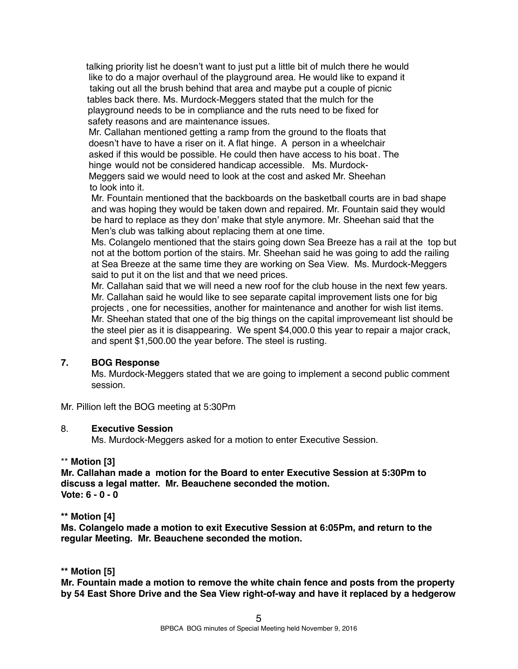talking priority list he doesn't want to just put a little bit of mulch there he would like to do a major overhaul of the playground area. He would like to expand it taking out all the brush behind that area and maybe put a couple of picnic tables back there. Ms. Murdock-Meggers stated that the mulch for the playground needs to be in compliance and the ruts need to be fixed for safety reasons and are maintenance issues.

Mr. Callahan mentioned getting a ramp from the ground to the floats that doesn't have to have a riser on it. A flat hinge. A person in a wheelchair asked if this would be possible. He could then have access to his boat. The hinge would not be considered handicap accessible. Ms. Murdock-Meggers said we would need to look at the cost and asked Mr. Sheehan to look into it.

 Mr. Fountain mentioned that the backboards on the basketball courts are in bad shape and was hoping they would be taken down and repaired. Mr. Fountain said they would be hard to replace as they don' make that style anymore. Mr. Sheehan said that the Men's club was talking about replacing them at one time.

Ms. Colangelo mentioned that the stairs going down Sea Breeze has a rail at the top but not at the bottom portion of the stairs. Mr. Sheehan said he was going to add the railing at Sea Breeze at the same time they are working on Sea View. Ms. Murdock-Meggers said to put it on the list and that we need prices.

Mr. Callahan said that we will need a new roof for the club house in the next few years. Mr. Callahan said he would like to see separate capital improvement lists one for big projects , one for necessities, another for maintenance and another for wish list items. Mr. Sheehan stated that one of the big things on the capital improvemeant list should be the steel pier as it is disappearing. We spent \$4,000.0 this year to repair a major crack, and spent \$1,500.00 the year before. The steel is rusting.

# **7. BOG Response**

Ms. Murdock-Meggers stated that we are going to implement a second public comment session.

Mr. Pillion left the BOG meeting at 5:30Pm

#### 8. **Executive Session**

Ms. Murdock-Meggers asked for a motion to enter Executive Session.

#### \*\* **Motion [3]**

**Mr. Callahan made a motion for the Board to enter Executive Session at 5:30Pm to discuss a legal matter. Mr. Beauchene seconded the motion. Vote: 6 - 0 - 0**

#### **\*\* Motion [4]**

**Ms. Colangelo made a motion to exit Executive Session at 6:05Pm, and return to the regular Meeting. Mr. Beauchene seconded the motion.**

#### **\*\* Motion [5]**

**Mr. Fountain made a motion to remove the white chain fence and posts from the property by 54 East Shore Drive and the Sea View right-of-way and have it replaced by a hedgerow**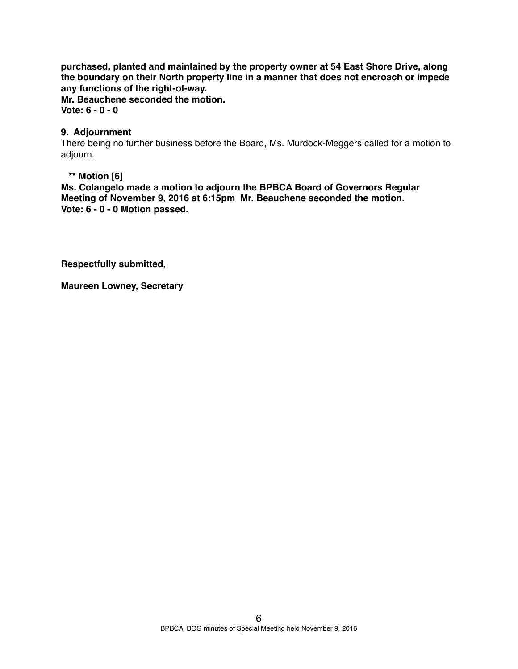**purchased, planted and maintained by the property owner at 54 East Shore Drive, along the boundary on their North property line in a manner that does not encroach or impede any functions of the right-of-way.** 

**Mr. Beauchene seconded the motion. Vote: 6 - 0 - 0** 

### **9. Adjournment**

There being no further business before the Board, Ms. Murdock-Meggers called for a motion to adjourn.

### **\*\* Motion [6]**

**Ms. Colangelo made a motion to adjourn the BPBCA Board of Governors Regular Meeting of November 9, 2016 at 6:15pm Mr. Beauchene seconded the motion. Vote: 6 - 0 - 0 Motion passed.**

**Respectfully submitted,**

**Maureen Lowney, Secretary**